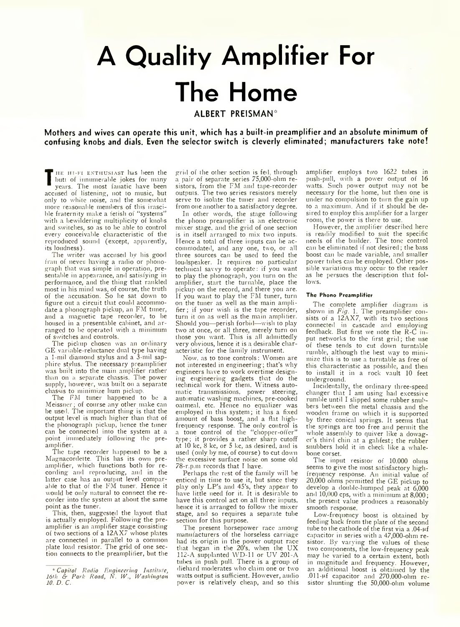## **A Quality Amplifier For The Home ALBERT PREISMAN\***

**Mothers and wives can operate this unit, which has a built-in preamplifier and an absolute minimum of confusing knobs and dials. Even the selector switch is cleverly eliminated; manufacturers take note!**

**T E** butt of minumerable jokes for many<br>
years. The most fanatic have been<br>
accused of listening, not to music, but HE HI-FI ENTHUSIAST has been the butt of innumerable jokes for many years. The most fanatic have been only to white noise, and the somewhat more reasonable members of this irascible fraternity make a fetish of "systems" with a bewildering multiplicity of knobs and switches, so as to he able to control every conceivable characteristic of the reproduced sound (except, apparently, its loudness).

The writer was accused by his good frau of never having a radio or phonograph that was simple in operation, presentable in appearance, and satisfying in performance, and the thing that rankled most in his mind was, of course, the truth of the accusation. So he sat down to figure out a circuit that could accommodate a phonograph pickup, an FM tuner, and a magnetic tape recorder, to be housed in a presentable cabinet, and arranged to be operated with a minimum of switches and controls.

The pickup chosen was an ordinary GE variable-reluctance dual type having a 1-mil diamond stylus and a 3-mil sapphire stylus. The necessary preamplifier was built into the main amplifier rather than on a separate chassis. The power supply, however, was built on a separate chassis to minimize hum pickup.

The FM tuner happened to be a Meissner; of course any other make can be used. The important thing is that the output level is much higher than that of the phonograph pickup, hence the tuner can be connected into the system at a point immediately following the preamplifier.

The tape recorder happened to be a Magnacordette. This has its own preamplifier, which functions both for recording' and reproducing, and in the latter case has an output level comparable to that of the FM tuner. Hence it would be only natural to connect the recorder into the system at about the same point as the tuner.

This, then, suggested the layout that is actually employed. Following the preamplifier is an amplifier stage consisting of two sections of a 12AX7 whose plates are connected in parallel to a common plate load resistor. The grid of one section connects to the preamplifier, but the

grid of the other section is fed through a pair of separate series 75,000-ohm resistors, from the FM and tape-recorder outputs. The two series resistors merely serve to isolate the tuner and recorder from one another to a satisfactory degree.

In other words, the stage following the phono preamplifier is an electronic mixer stage, and the grid of one section is in itself arranged to mix two inputs. Hence a total of three inputs can be accommodated, and any one, two, or all three sources can be used to feed the loudspeaker. It requires no particular technical savvy to operate: if you want to play the phonograph, you turn on the amplifier, start the turnable, place the pickup on the record, and there you are. If you want to play the FM tuner, turn on the tuner as well as the main amplifier ; if your wish is the tape recorder, turn it on as well as the main amplifier. Should you—perish forbid—wish to play two at once, or all three, merely turn on those you want. This is all admittedly very obvious, hence it is a desirable characteristic for the family instrument.

Now. as to tone controls: Women are not interested in engineering; that's why engineers have to work overtime designing engineering gadgets that do the technical work for them. Witness automatic transmissions, power steering, automatic washing machines, pre-cooked oatmeal, etc. Hence no equalizer was employed in this system; it has a fixed amount of bass boost, and a flat highfrequency response. The only control is a tone control of the "chopper-offer" type; it provides a rather sharp cutoff at 10 kc, 8 kc, or 5 kc, as desired, and is used (only by me, of course) to cut down the excessive surface noise on some old 78-r.p.m records that I have.

Perhaps the rest of the family will be enticed in time to use it, but since they play only LP's and 45's, they appear to have little need for it. It is desirable to have this control act on all three inputs, hence it is arranged to follow the mixer stage, and so requires a separate tube section for this purpose.

The present horsepower race among manufacturers of the horseless carriage had its origin in the power output race that began in the  $20$ 's, when the UX 112-A supplanted WD-11 or UV 201-A tubes in push pull. There is a group of diehard moderates who claim one or two watts output is sufficient. However, audio power is relatively cheap, and so this amplifier employs two 1622 tubes in push-pull, with a power output of 16 watts. Such power output may not be necessary for the home, but then one is under no compulsion to turn the gain up to a maximum. And if it should be desired to employ this amplifier for a larger room, the power is there to use.

However, the amplifier described here is readily modified to suit the specific needs of the builder. The tone control can be eliminated if not desired; the bass boost can be made variable, and smaller power tubes can be employed. Other possible variations may occur to the reader as he persues the description that follows.

## The Phono Preamplifier

The complete amplifier diagram is shown in *Fig.* 1. The preamplifier consists of a 12AX7, with its two sections connected in cascade and employing feedback. But first we note the R-C m put networks to the first grid; the use of these tends to cut down turntable rumble, although the best way to minimize this is to use a turntable as free of this characteristic as possible, and then to install it in a rock vault 10 feet underground.

Incidentally, the ordinary three-speed changer that I am using had excessive rumble until I slipped some rubber snubbers between the metal chassis and the wooden frame on which it is supported by three conical springs. It seems that the springs are too free and permit the whole assembly to quiver like a dowager's third chin at a gabfest; the rubber snubbers hold it in check like a whalebone corset.

The input resistor of 10.000 ohms seems to give the most satisfactory highfrequency response. An initial value of 20,000 ohms permitted the GE pickup to develop a double-humped peak at 6,000 and 10,000 cps, with a minimum at 8,000; the present value produces a reasonably smooth response.

Low-frequency boost is obtained by feeding back from the plate of the second tube to the cathode of the first via a .04- $\mu$ f capacitor in series with a 47,000-ohm resistor. By varying the values of these two components, the low-frequency peak may be varied to a certain extent, both in magnitude and frequency. However, an additional boost is obtained by the .011-pf capacitor and 270,000-ohm resistor shunting the 50,000-ohm volume

<sup>\*</sup> *Capitol Radio Engineering Institute, 16th & Park Road, N. IV., Waslnngton 10. D. C.*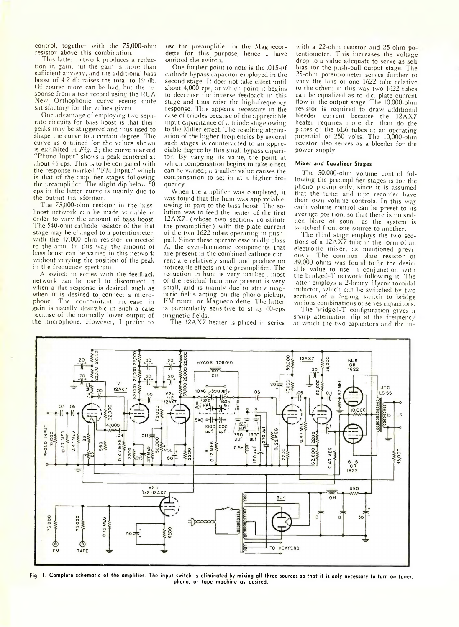control, together with the 75,000-ohm resistor above this combination.

This latter network produces a reduction in gain, but the gain is more than sufficient anyway, and the additional bass boost of 4.2 db raises the total to 10 db. Of course more can be had. but the response from a test record using the RCA New Orthophonic curve seems quite satisfactory for the values given.

One advantage of employing two separate circuits for bass boost is that their peaks may be staggered and thus used to shape the curve to a certain degree. The curve as obtained for the values shown is exhibited in *Fig.* 2; the curve marked "Phono Input'' shows a peak centered at about 45 cps. This is to he compared with the response marked "FM Input," which is that of the amplifier stages following the preamplifier. The slight dip below 50 cps in the latter curve is mainly due to the output transformer.

The 75 000-ohm resistor in the bassboost network can he made variable in order to vary the amount of bass boost. The 540-ohm cathode resistor of the first stage may he changed to a potentiometer, with the 47.000 ohm resistor connected to the arm. In this way the amount of bass boost can be varied in this network without varying the position of the peak in the frequency spectrum.

A switch in series with the feedback network can he used to disconnect it when a flat response is desired, such as when it is desired to connect a microphone. The concomitant increase in gain is usually desirable in such a case because of the normally lower output of the microphone. However, I prefer to

use the preamplifier in the Magnecordette for this purpose, hence I have omitted the switch

One further point to note is the ,015-pf cathode bvpa.-s capacitor employed in the second stage. It does not take effect until about 4,000 cps, at which point it begins to decrease the inverse teedback in this stage and thus raise the high frequency response. This appears necessary in the case of triodes because of the appreciable input capacitance of a triode stage owing to the Miller effect. The resulting attenuation of the higher frequencies by several such stages is counteracted to an appreciable degree by this small bypass capacitor. By varying its value, the point at which compensation begins to take effect can be varied; a smaller value causes the compensation to set in at a higher fre quency.

When the amplifier was completed, it was found that the hum was appreciable, owing in part to the bass-boost. The solution was to feed the heater of the first 12AX7 (whose two sections constitute the preamplifier) with the plate current of the two 1622 tubes operating in pushpull. Since these operate essentially class A. the even harmonic components that are present in the combined cathode current are relatively small, and produce no noticeable effects in the preamplifier. The reduction in hum is very marked; most of the residual hum now present is very small, and is mainly due to stray magnetic fields acting on the phono pickup, FM tuner, or Magnecordette. The latter is particularly sensitive to stray n0-cps magnetic fields.

The 12AX7 heater is placed in series

with a 22-ohm resistor and 25-ohm potentiometer. This increases the voltage drop to a value adequate to serve as self bias for the push-pull output stage. The 25-ohm potentiometer serves further to vary the bias of one 1622 tube relative to the other: in this way two 1622 tubes can be equalized as to d.c. plate current flow in the output stage. The 10.000-ohm resistor is required to draw additional bleeder current because the 12AX7 heater requires more d.c. than do the plates ol the 6L6 tubes at an operating potential of 250 volts. The 10,000-ohm resistor also serves as a bleeder for the power supply.

## Mixer and Equalizer Stages

the 50.000-olun volume control following the preamplifier stages is for the phono pickup only, since it is assumed that the tuner and tape recorder have their own volume controls. In this wav each volume control can he preset to its average position, so that there is no sudden blare ot sound as the system is switched from one source to another.

The third stage employs the two sections of a 12AX7 tube in the form of an electronic mixer, as mentioned previously. The common plate resistor of 39,000 ohms was found to be the desirable value to use in conjunction with the bridged *T* network following it. The latter employs a 2-henry Hycor toroidal inductor, which can be switched by two sections of a 3-gang switch to bridge various combinations of series capacitors.

The bridged-T configuration gives a sharp attenuation dip at the frequency at which the two capacitors and the in-



Fig. 1. Complete schematic of the amplifier. The input switch is eliminated by mixing all three sources so that it is only necessary to turn on tuner, phono, or tape machine as desired.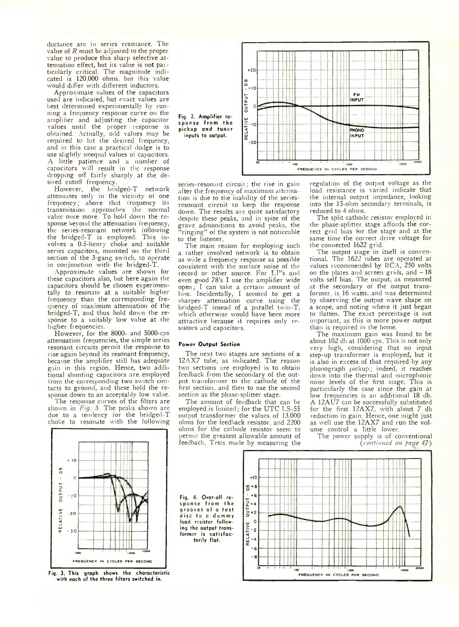ductance arc in series resonance. The value of *R* must be adjusted to the proper value to produce this sharp selective attenuation effect, but its value is not particularly critical. The magnitude indicated is 120.000 ohms, but this value would differ with different inductors.

Approximate values of the capacitors used are indicated, hut exact values are best determined experimentally hv running a frequency response curve on the amplifier and adjusting the capacitor values until the proper response is obtamed. Actually, odd values may be required to hit the desired frequency, and in this case a practical dodge is to use slightly unequal values of capacitors. A little patience and a number of capacitors will result in the response dropping off fairly sharply at the desired cutoff frequency.

However, the bridged-T network attenuates only in the vicinity of one frequency; above that frequency its transmission approaches the normal value once more. To hold down the response beyond the attenuation frequency, the series-resonant network following the bridged-T is employed. This involves a 0.5-henry choke and suitable series capacitors, mounted on the third section of the 3-gang switch, to operate in conjunction with the bridged-T.

Approximate values are shown for these capacitors also, hut here again the capacitors should be chosen experimentally to resonate at a suitable higher frequency than the corresponding frequency of maximum attenuation of the bridged-T, and thus hold down the response to a suitably low value at the higher frequencies.

However, for the 8000- and 5000-cps attenuation frequencies, the simple series resonant circuits permit the response to rise again bejond its resonant frequency, because the amplifier still has adequate gain in this region. Hence, two additional shunting capacitors are employed from the corresponding two switch contacts to ground, and these hold the response down to an acceptably low value.

The response curves of the filters are shown in *Fig.* 3. The peaks shown are due to a tendency for the bridged-T choke to resonate with the following



series-resonant circuit; the rise in gain after the frequency of maximum attenua tion is due to the inability of the seriesresonant circuit to keep the response down. The results arc quite satisfactory despite these peaks, and in spite of the grave admonitions to avoid peaks, the ringing" of the system is not noticeable to the listener.

The main reason for employing such a rather involved network is to obtain as wide a frequency response as possible consistent with the surface noise of the record or other source. For LP's and even good 78's I use the amplifier wide open*;* I can take a certain amount of hiss. Incidentally, I seemed to get a sharper attenuation curve using the bridged-T insead of a parallel twin-T, which otherwise would have been more attractive because it requires only resistors and capacitors.

## Power Output Section

torily flat.

The next two stages are sections of a 12AX7 tube, as indicated. The reason two sections are employed is to obtain feedback from the secondary of the output transformer to the cathode of the first section, and then to use the second section as the phase-splitter stage.

The amount of feedback that can be employed is limited; for the UTC LS-55 output transformer the values of 13,000 ohms for the feedback resistor and 2200 ohms for the cathode resistor seem to permit the greatest allowable amount of feedback. Tests made by measuring the

regulation of the output voltage as the load resistance is varied indicate that the internal output impedance, looking into the 15-ohm secondary terminals, is reduced to 4 ohms.

The split cathode resistor employed in the phase-splitter stage affords the correct grid bias for the stage and at the same time the correct drive voltage for the connected 1622 grid.

The output stage in itself is conventional. The 1622 lubes are operated at values recommended by RCA, 250 volts on the plates and screen grids, and  $-18$ volts self bias. The output, as measured at the secondary of the output transformer. is 16 watts, and was determined by observing the output wave shape on a scope, and noting where it just began to flatten. The exact percentage is not important, as this is more power output than is required in the home.

The maximum gain was found to be about  $102$  db at  $1000$  cps. This is not only very high, considering that no input step-up transformer is employed, but it is also in excess of that required by any phonograph pickup; indeed, it reaches down into the thermal and microphonic noise levels of the first stage. This is particularly the case since the gain at low frequencies is an additional 18 db. A 12AU7 can be successfully substituted for the first 12AX7, with about 7 db reduction in gain. Hence, one might just as well use the 12AX7 and run the vol ume control a little lower.

The power supply is of conventional *{continued on page 47~)*



Fig. 3. This graph shows the characteristic with each of the three filters switched in.